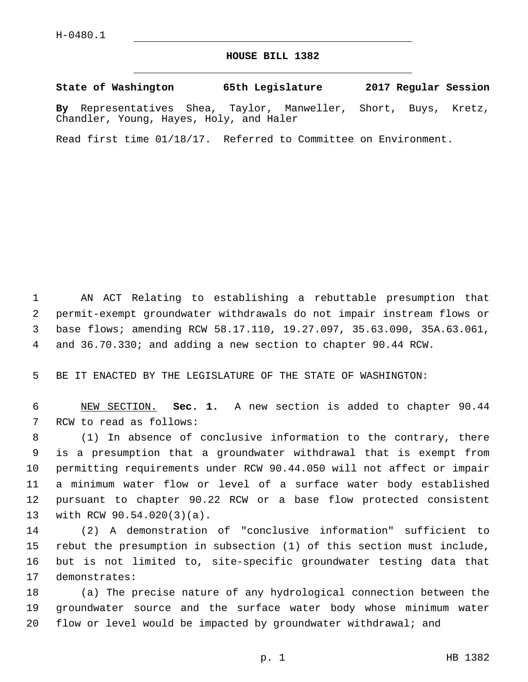## **HOUSE BILL 1382**

**State of Washington 65th Legislature 2017 Regular Session**

**By** Representatives Shea, Taylor, Manweller, Short, Buys, Kretz, Chandler, Young, Hayes, Holy, and Haler

Read first time 01/18/17. Referred to Committee on Environment.

 AN ACT Relating to establishing a rebuttable presumption that permit-exempt groundwater withdrawals do not impair instream flows or base flows; amending RCW 58.17.110, 19.27.097, 35.63.090, 35A.63.061, and 36.70.330; and adding a new section to chapter 90.44 RCW.

BE IT ENACTED BY THE LEGISLATURE OF THE STATE OF WASHINGTON:

 NEW SECTION. **Sec. 1.** A new section is added to chapter 90.44 7 RCW to read as follows:

 (1) In absence of conclusive information to the contrary, there is a presumption that a groundwater withdrawal that is exempt from permitting requirements under RCW 90.44.050 will not affect or impair a minimum water flow or level of a surface water body established pursuant to chapter 90.22 RCW or a base flow protected consistent 13 with RCW 90.54.020(3)(a).

 (2) A demonstration of "conclusive information" sufficient to rebut the presumption in subsection (1) of this section must include, but is not limited to, site-specific groundwater testing data that 17 demonstrates:

 (a) The precise nature of any hydrological connection between the groundwater source and the surface water body whose minimum water flow or level would be impacted by groundwater withdrawal; and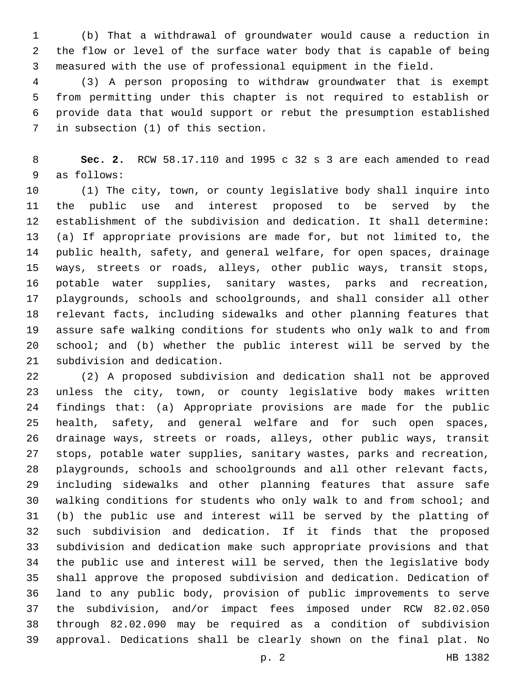(b) That a withdrawal of groundwater would cause a reduction in the flow or level of the surface water body that is capable of being measured with the use of professional equipment in the field.

 (3) A person proposing to withdraw groundwater that is exempt from permitting under this chapter is not required to establish or provide data that would support or rebut the presumption established 7 in subsection (1) of this section.

 **Sec. 2.** RCW 58.17.110 and 1995 c 32 s 3 are each amended to read 9 as follows:

 (1) The city, town, or county legislative body shall inquire into the public use and interest proposed to be served by the establishment of the subdivision and dedication. It shall determine: (a) If appropriate provisions are made for, but not limited to, the public health, safety, and general welfare, for open spaces, drainage ways, streets or roads, alleys, other public ways, transit stops, potable water supplies, sanitary wastes, parks and recreation, playgrounds, schools and schoolgrounds, and shall consider all other relevant facts, including sidewalks and other planning features that assure safe walking conditions for students who only walk to and from school; and (b) whether the public interest will be served by the 21 subdivision and dedication.

 (2) A proposed subdivision and dedication shall not be approved unless the city, town, or county legislative body makes written findings that: (a) Appropriate provisions are made for the public health, safety, and general welfare and for such open spaces, drainage ways, streets or roads, alleys, other public ways, transit stops, potable water supplies, sanitary wastes, parks and recreation, playgrounds, schools and schoolgrounds and all other relevant facts, including sidewalks and other planning features that assure safe walking conditions for students who only walk to and from school; and (b) the public use and interest will be served by the platting of such subdivision and dedication. If it finds that the proposed subdivision and dedication make such appropriate provisions and that the public use and interest will be served, then the legislative body shall approve the proposed subdivision and dedication. Dedication of land to any public body, provision of public improvements to serve the subdivision, and/or impact fees imposed under RCW 82.02.050 through 82.02.090 may be required as a condition of subdivision approval. Dedications shall be clearly shown on the final plat. No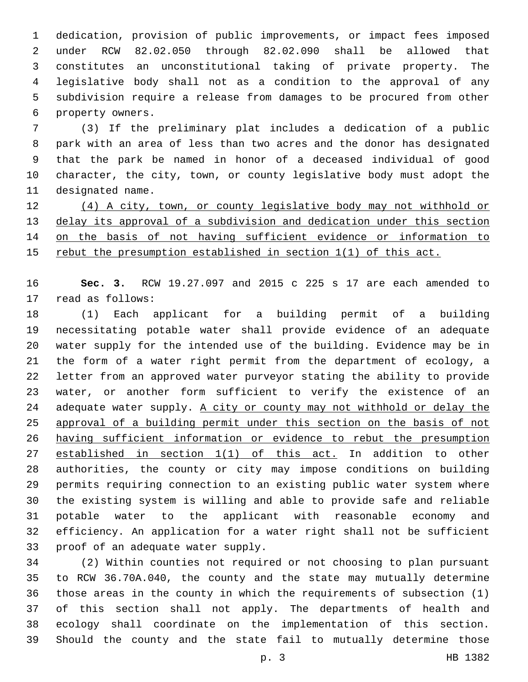dedication, provision of public improvements, or impact fees imposed under RCW 82.02.050 through 82.02.090 shall be allowed that constitutes an unconstitutional taking of private property. The legislative body shall not as a condition to the approval of any subdivision require a release from damages to be procured from other 6 property owners.

 (3) If the preliminary plat includes a dedication of a public park with an area of less than two acres and the donor has designated that the park be named in honor of a deceased individual of good character, the city, town, or county legislative body must adopt the 11 designated name.

 (4) A city, town, or county legislative body may not withhold or delay its approval of a subdivision and dedication under this section on the basis of not having sufficient evidence or information to rebut the presumption established in section 1(1) of this act.

 **Sec. 3.** RCW 19.27.097 and 2015 c 225 s 17 are each amended to 17 read as follows:

 (1) Each applicant for a building permit of a building necessitating potable water shall provide evidence of an adequate water supply for the intended use of the building. Evidence may be in the form of a water right permit from the department of ecology, a letter from an approved water purveyor stating the ability to provide water, or another form sufficient to verify the existence of an adequate water supply. A city or county may not withhold or delay the approval of a building permit under this section on the basis of not having sufficient information or evidence to rebut the presumption established in section 1(1) of this act. In addition to other authorities, the county or city may impose conditions on building permits requiring connection to an existing public water system where the existing system is willing and able to provide safe and reliable potable water to the applicant with reasonable economy and efficiency. An application for a water right shall not be sufficient 33 proof of an adequate water supply.

 (2) Within counties not required or not choosing to plan pursuant to RCW 36.70A.040, the county and the state may mutually determine those areas in the county in which the requirements of subsection (1) of this section shall not apply. The departments of health and ecology shall coordinate on the implementation of this section. Should the county and the state fail to mutually determine those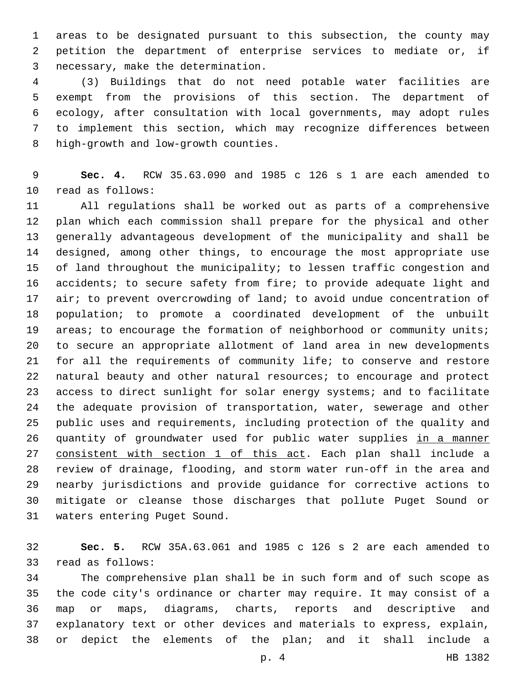areas to be designated pursuant to this subsection, the county may petition the department of enterprise services to mediate or, if necessary, make the determination.3

 (3) Buildings that do not need potable water facilities are exempt from the provisions of this section. The department of ecology, after consultation with local governments, may adopt rules to implement this section, which may recognize differences between 8 high-growth and low-growth counties.

 **Sec. 4.** RCW 35.63.090 and 1985 c 126 s 1 are each amended to 10 read as follows:

 All regulations shall be worked out as parts of a comprehensive plan which each commission shall prepare for the physical and other generally advantageous development of the municipality and shall be designed, among other things, to encourage the most appropriate use of land throughout the municipality; to lessen traffic congestion and accidents; to secure safety from fire; to provide adequate light and 17 air; to prevent overcrowding of land; to avoid undue concentration of population; to promote a coordinated development of the unbuilt 19 areas; to encourage the formation of neighborhood or community units; to secure an appropriate allotment of land area in new developments for all the requirements of community life; to conserve and restore natural beauty and other natural resources; to encourage and protect access to direct sunlight for solar energy systems; and to facilitate the adequate provision of transportation, water, sewerage and other public uses and requirements, including protection of the quality and 26 quantity of groundwater used for public water supplies in a manner 27 consistent with section 1 of this act. Each plan shall include a review of drainage, flooding, and storm water run-off in the area and nearby jurisdictions and provide guidance for corrective actions to mitigate or cleanse those discharges that pollute Puget Sound or 31 waters entering Puget Sound.

 **Sec. 5.** RCW 35A.63.061 and 1985 c 126 s 2 are each amended to 33 read as follows:

 The comprehensive plan shall be in such form and of such scope as the code city's ordinance or charter may require. It may consist of a map or maps, diagrams, charts, reports and descriptive and explanatory text or other devices and materials to express, explain, or depict the elements of the plan; and it shall include a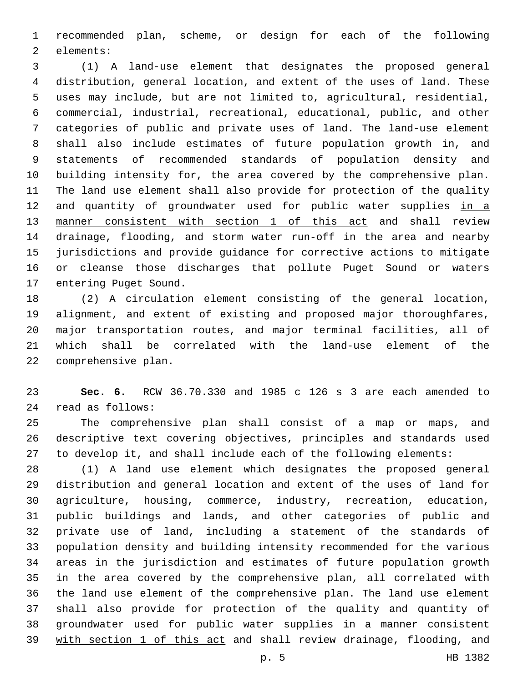recommended plan, scheme, or design for each of the following 2 elements:

 (1) A land-use element that designates the proposed general distribution, general location, and extent of the uses of land. These uses may include, but are not limited to, agricultural, residential, commercial, industrial, recreational, educational, public, and other categories of public and private uses of land. The land-use element shall also include estimates of future population growth in, and statements of recommended standards of population density and building intensity for, the area covered by the comprehensive plan. The land use element shall also provide for protection of the quality 12 and quantity of groundwater used for public water supplies in a manner consistent with section 1 of this act and shall review drainage, flooding, and storm water run-off in the area and nearby jurisdictions and provide guidance for corrective actions to mitigate or cleanse those discharges that pollute Puget Sound or waters 17 entering Puget Sound.

 (2) A circulation element consisting of the general location, alignment, and extent of existing and proposed major thoroughfares, major transportation routes, and major terminal facilities, all of which shall be correlated with the land-use element of the 22 comprehensive plan.

 **Sec. 6.** RCW 36.70.330 and 1985 c 126 s 3 are each amended to read as follows:24

 The comprehensive plan shall consist of a map or maps, and descriptive text covering objectives, principles and standards used to develop it, and shall include each of the following elements:

 (1) A land use element which designates the proposed general distribution and general location and extent of the uses of land for agriculture, housing, commerce, industry, recreation, education, public buildings and lands, and other categories of public and private use of land, including a statement of the standards of population density and building intensity recommended for the various areas in the jurisdiction and estimates of future population growth in the area covered by the comprehensive plan, all correlated with the land use element of the comprehensive plan. The land use element shall also provide for protection of the quality and quantity of 38 groundwater used for public water supplies in a manner consistent with section 1 of this act and shall review drainage, flooding, and